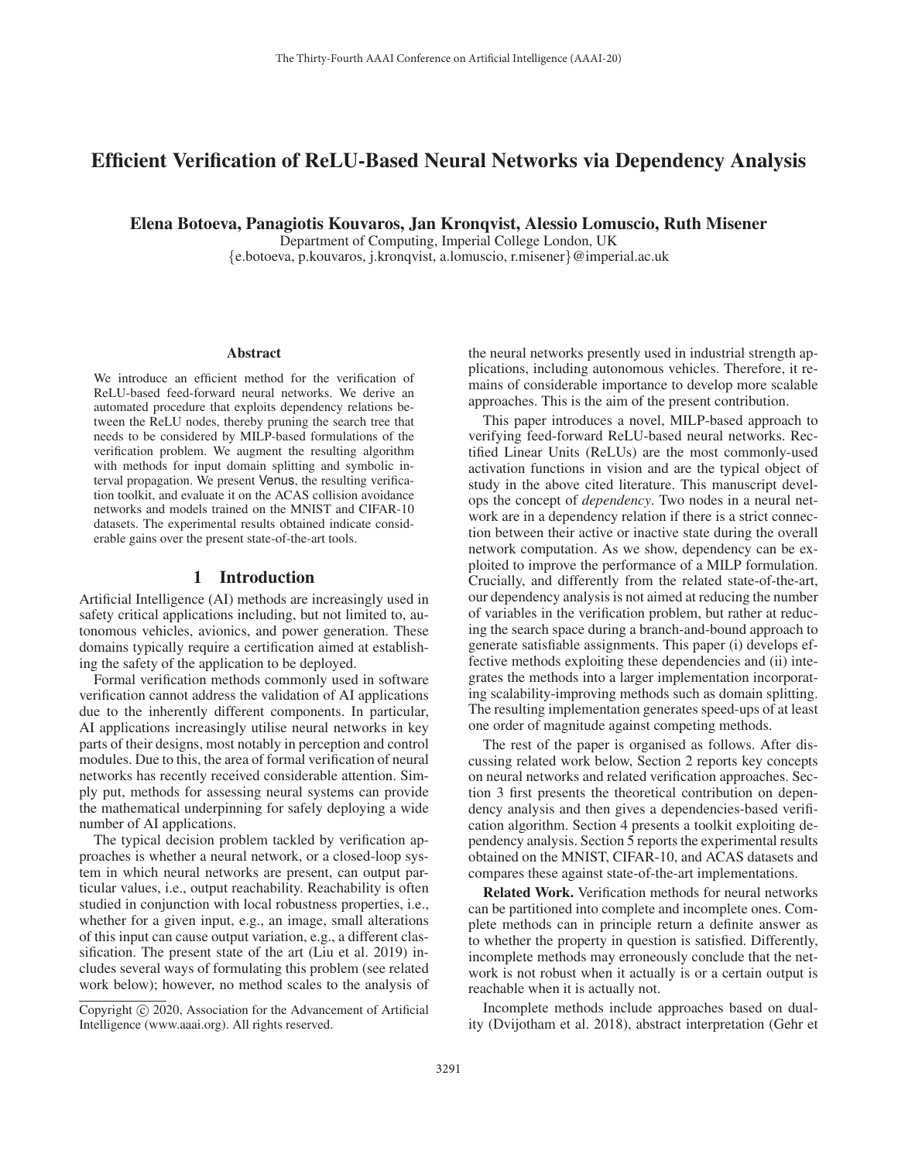# Efficient Verification of ReLU-Based Neural Networks via Dependency Analysis

Elena Botoeva, Panagiotis Kouvaros, Jan Kronqvist, Alessio Lomuscio, Ruth Misener

Department of Computing, Imperial College London, UK {e.botoeva, p.kouvaros, j.kronqvist, a.lomuscio, r.misener}@imperial.ac.uk

Abstract

We introduce an efficient method for the verification of ReLU-based feed-forward neural networks. We derive an automated procedure that exploits dependency relations between the ReLU nodes, thereby pruning the search tree that needs to be considered by MILP-based formulations of the verification problem. We augment the resulting algorithm with methods for input domain splitting and symbolic interval propagation. We present Venus, the resulting verification toolkit, and evaluate it on the ACAS collision avoidance networks and models trained on the MNIST and CIFAR-10 datasets. The experimental results obtained indicate considerable gains over the present state-of-the-art tools.

### 1 Introduction

Artificial Intelligence (AI) methods are increasingly used in safety critical applications including, but not limited to, autonomous vehicles, avionics, and power generation. These domains typically require a certification aimed at establishing the safety of the application to be deployed.

Formal verification methods commonly used in software verification cannot address the validation of AI applications due to the inherently different components. In particular, AI applications increasingly utilise neural networks in key parts of their designs, most notably in perception and control modules. Due to this, the area of formal verification of neural networks has recently received considerable attention. Simply put, methods for assessing neural systems can provide the mathematical underpinning for safely deploying a wide number of AI applications.

The typical decision problem tackled by verification approaches is whether a neural network, or a closed-loop system in which neural networks are present, can output particular values, i.e., output reachability. Reachability is often studied in conjunction with local robustness properties, i.e., whether for a given input, e.g., an image, small alterations of this input can cause output variation, e.g., a different classification. The present state of the art (Liu et al. 2019) includes several ways of formulating this problem (see related work below); however, no method scales to the analysis of

the neural networks presently used in industrial strength applications, including autonomous vehicles. Therefore, it remains of considerable importance to develop more scalable approaches. This is the aim of the present contribution.

This paper introduces a novel, MILP-based approach to verifying feed-forward ReLU-based neural networks. Rectified Linear Units (ReLUs) are the most commonly-used activation functions in vision and are the typical object of study in the above cited literature. This manuscript develops the concept of *dependency*. Two nodes in a neural network are in a dependency relation if there is a strict connection between their active or inactive state during the overall network computation. As we show, dependency can be exploited to improve the performance of a MILP formulation. Crucially, and differently from the related state-of-the-art, our dependency analysis is not aimed at reducing the number of variables in the verification problem, but rather at reducing the search space during a branch-and-bound approach to generate satisfiable assignments. This paper (i) develops effective methods exploiting these dependencies and (ii) integrates the methods into a larger implementation incorporating scalability-improving methods such as domain splitting. The resulting implementation generates speed-ups of at least one order of magnitude against competing methods.

The rest of the paper is organised as follows. After discussing related work below, Section 2 reports key concepts on neural networks and related verification approaches. Section 3 first presents the theoretical contribution on dependency analysis and then gives a dependencies-based verification algorithm. Section 4 presents a toolkit exploiting dependency analysis. Section 5 reports the experimental results obtained on the MNIST, CIFAR-10, and ACAS datasets and compares these against state-of-the-art implementations.

Related Work. Verification methods for neural networks can be partitioned into complete and incomplete ones. Complete methods can in principle return a definite answer as to whether the property in question is satisfied. Differently, incomplete methods may erroneously conclude that the network is not robust when it actually is or a certain output is reachable when it is actually not.

Incomplete methods include approaches based on duality (Dvijotham et al. 2018), abstract interpretation (Gehr et

Copyright  $\odot$  2020, Association for the Advancement of Artificial Intelligence (www.aaai.org). All rights reserved.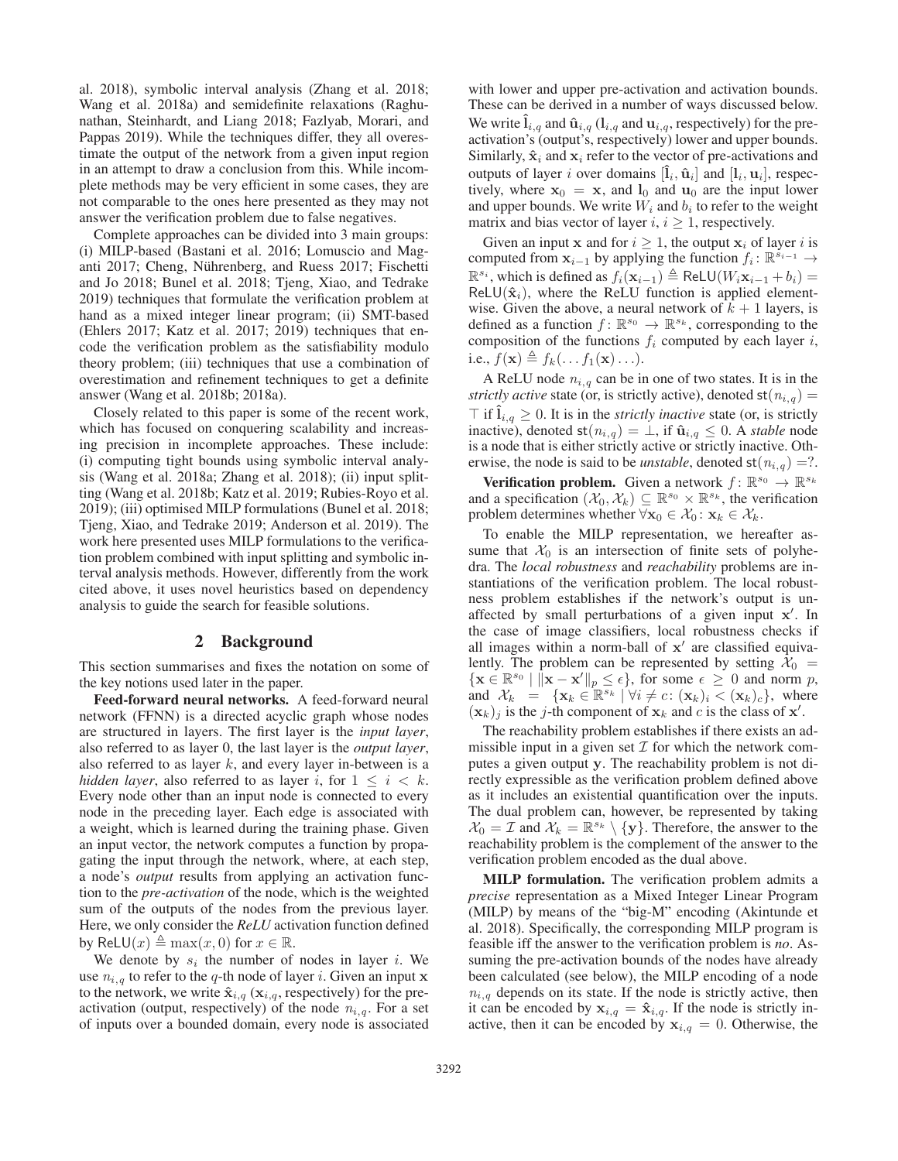al. 2018), symbolic interval analysis (Zhang et al. 2018; Wang et al. 2018a) and semidefinite relaxations (Raghunathan, Steinhardt, and Liang 2018; Fazlyab, Morari, and Pappas 2019). While the techniques differ, they all overestimate the output of the network from a given input region in an attempt to draw a conclusion from this. While incomplete methods may be very efficient in some cases, they are not comparable to the ones here presented as they may not answer the verification problem due to false negatives.

Complete approaches can be divided into 3 main groups: (i) MILP-based (Bastani et al. 2016; Lomuscio and Maganti 2017; Cheng, Nührenberg, and Ruess 2017; Fischetti and Jo 2018; Bunel et al. 2018; Tjeng, Xiao, and Tedrake 2019) techniques that formulate the verification problem at hand as a mixed integer linear program; (ii) SMT-based (Ehlers 2017; Katz et al. 2017; 2019) techniques that encode the verification problem as the satisfiability modulo theory problem; (iii) techniques that use a combination of overestimation and refinement techniques to get a definite answer (Wang et al. 2018b; 2018a).

Closely related to this paper is some of the recent work, which has focused on conquering scalability and increasing precision in incomplete approaches. These include: (i) computing tight bounds using symbolic interval analysis (Wang et al. 2018a; Zhang et al. 2018); (ii) input splitting (Wang et al. 2018b; Katz et al. 2019; Rubies-Royo et al. 2019); (iii) optimised MILP formulations (Bunel et al. 2018; Tjeng, Xiao, and Tedrake 2019; Anderson et al. 2019). The work here presented uses MILP formulations to the verification problem combined with input splitting and symbolic interval analysis methods. However, differently from the work cited above, it uses novel heuristics based on dependency analysis to guide the search for feasible solutions.

#### 2 Background

This section summarises and fixes the notation on some of the key notions used later in the paper.

Feed-forward neural networks. A feed-forward neural network (FFNN) is a directed acyclic graph whose nodes are structured in layers. The first layer is the *input layer*, also referred to as layer 0, the last layer is the *output layer*, also referred to as layer  $k$ , and every layer in-between is a *hidden layer*, also referred to as layer i, for  $1 \leq i \leq k$ . Every node other than an input node is connected to every node in the preceding layer. Each edge is associated with a weight, which is learned during the training phase. Given an input vector, the network computes a function by propagating the input through the network, where, at each step, a node's *output* results from applying an activation function to the *pre-activation* of the node, which is the weighted sum of the outputs of the nodes from the previous layer. Here, we only consider the *ReLU* activation function defined by ReLU $(x) \triangleq \max(x, 0)$  for  $x \in \mathbb{R}$ .

We denote by  $s_i$  the number of nodes in layer i. We use  $n_{i,q}$  to refer to the q-th node of layer i. Given an input **x** to the network, we write  $\hat{\mathbf{x}}_{i,q}$  ( $\mathbf{x}_{i,q}$ , respectively) for the preactivation (output, respectively) of the node  $n_{i,q}$ . For a set of inputs over a bounded domain, every node is associated

with lower and upper pre-activation and activation bounds. These can be derived in a number of ways discussed below. We write  $\hat{\mathbf{l}}_{i,q}$  and  $\hat{\mathbf{u}}_{i,q}$  ( $\mathbf{l}_{i,q}$  and  $\mathbf{u}_{i,q}$ , respectively) for the preactivation's (output's, respectively) lower and upper bounds. Similarly,  $\hat{\mathbf{x}}_i$  and  $\mathbf{x}_i$  refer to the vector of pre-activations and outputs of layer *i* over domains  $[\hat{\mathbf{l}}_i, \hat{\mathbf{u}}_i]$  and  $[\mathbf{l}_i, \mathbf{u}_i]$ , respectively, where  $x_0 = x$ , and  $l_0$  and  $u_0$  are the input lower and upper bounds. We write  $W_i$  and  $b_i$  to refer to the weight matrix and bias vector of layer  $i, i \geq 1$ , respectively.

Given an input **x** and for  $i \ge 1$ , the output  $\mathbf{x}_i$  of layer i is computed from  $\mathbf{x}_{i-1}$  by applying the function  $f_i : \mathbb{R}^{s_{i-1}} \to$  $\mathbb{R}^{s_i}$ , which is defined as  $f_i(\mathbf{x}_{i-1}) \triangleq \text{ReLU}(W_i \mathbf{x}_{i-1} + b_i) =$ ReLU( $\hat{\mathbf{x}}_i$ ), where the ReLU function is applied elementwise. Given the above, a neural network of  $k + 1$  layers, is defined as a function  $f: \mathbb{R}^{s_0} \to \mathbb{R}^{s_k}$ , corresponding to the composition of the functions  $f_i$  computed by each layer i, i.e.,  $f(\mathbf{x}) \triangleq f_k(\ldots f_1(\mathbf{x})\ldots)$ .

A ReLU node  $n_{i,q}$  can be in one of two states. It is in the *strictly active* state (or, is strictly active), denoted  $st(n_{i,q}) =$  $\top$  if  $\hat{\mathbf{I}}_{i,q} \geq 0$ . It is in the *strictly inactive* state (or, is strictly inactive), denoted  $\text{st}(n_{i,q}) = \perp$ , if  $\hat{\mathbf{u}}_{i,q} \leq 0$ . A *stable* node is a node that is either strictly active or strictly inactive. Otherwise, the node is said to be *unstable*, denoted  $st(n_{i,q}) = ?$ .

**Verification problem.** Given a network  $f: \mathbb{R}^{s_0} \to \mathbb{R}^{s_k}$ and a specification  $(\mathcal{X}_0, \mathcal{X}_k) \subseteq \mathbb{R}^{s_0} \times \mathbb{R}^{s_k}$ , the verification problem determines whether  $\forall \mathbf{x}_0 \in \mathcal{X}_0 : \mathbf{x}_k \in \mathcal{X}_k$ .

To enable the MILP representation, we hereafter assume that  $\mathcal{X}_0$  is an intersection of finite sets of polyhedra. The *local robustness* and *reachability* problems are instantiations of the verification problem. The local robustness problem establishes if the network's output is unaffected by small perturbations of a given input x'. In the case of image classifiers, local robustness checks if all images within a norm-ball of x' are classified equivalently. The problem can be represented by setting  $\mathcal{X}_0$  =  $\{ \mathbf{x} \in \mathbb{R}^{s_0} \mid ||\mathbf{x} - \mathbf{x}'||_p \leq \epsilon \},\$  for some  $\epsilon \geq 0$  and norm p, and  $\mathcal{X}_k = \{ \mathbf{x}_k \in \mathbb{R}^{s_k} \mid \forall i \neq c : (\mathbf{x}_k)_i < (\mathbf{x}_k)_c \}$ , where  $(\mathbf{x}_k)_j$  is the j-th component of  $\mathbf{x}_k$  and c is the class of  $\mathbf{x}'$ .

The reachability problem establishes if there exists an admissible input in a given set  $\mathcal I$  for which the network computes a given output **y**. The reachability problem is not directly expressible as the verification problem defined above as it includes an existential quantification over the inputs. The dual problem can, however, be represented by taking  $\mathcal{X}_0 = \mathcal{I}$  and  $\mathcal{X}_k = \mathbb{R}^{s_k} \setminus {\bf y}$ . Therefore, the answer to the reachability problem is the complement of the answer to the verification problem encoded as the dual above.

MILP formulation. The verification problem admits a *precise* representation as a Mixed Integer Linear Program (MILP) by means of the "big-M" encoding (Akintunde et al. 2018). Specifically, the corresponding MILP program is feasible iff the answer to the verification problem is *no*. Assuming the pre-activation bounds of the nodes have already been calculated (see below), the MILP encoding of a node  $n_{i,q}$  depends on its state. If the node is strictly active, then it can be encoded by  $x_{i,q} = \hat{x}_{i,q}$ . If the node is strictly inactive, then it can be encoded by  $x_{i,q} = 0$ . Otherwise, the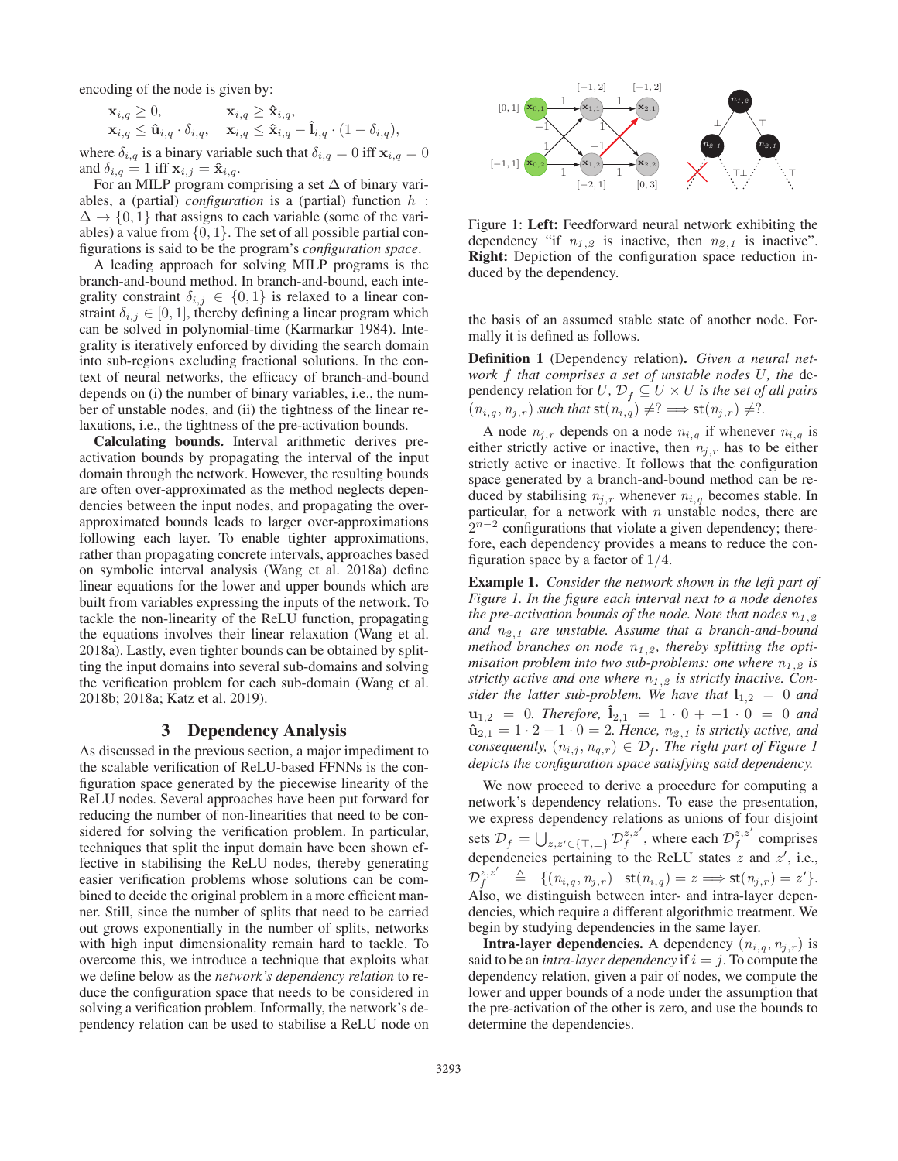encoding of the node is given by:

$$
\mathbf{x}_{i,q} \geq 0, \qquad \mathbf{x}_{i,q} \geq \hat{\mathbf{x}}_{i,q}, \n\mathbf{x}_{i,q} \leq \hat{\mathbf{u}}_{i,q} \cdot \delta_{i,q}, \quad \mathbf{x}_{i,q} \leq \hat{\mathbf{x}}_{i,q} - \hat{\mathbf{l}}_{i,q} \cdot (1 - \delta_{i,q}),
$$

where  $\delta_{i,q}$  is a binary variable such that  $\delta_{i,q} = 0$  iff  $\mathbf{x}_{i,q} = 0$ and  $\delta_{i,q} = 1$  iff  $\mathbf{x}_{i,j} = \hat{\mathbf{x}}_{i,q}$ .

For an MILP program comprising a set  $\Delta$  of binary variables, a (partial) *configuration* is a (partial) function h :  $\Delta \rightarrow \{0, 1\}$  that assigns to each variable (some of the variables) a value from  $\{0, 1\}$ . The set of all possible partial configurations is said to be the program's *configuration space*.

A leading approach for solving MILP programs is the branch-and-bound method. In branch-and-bound, each integrality constraint  $\delta_{i,j} \in \{0,1\}$  is relaxed to a linear constraint  $\delta_{i,j} \in [0,1]$ , thereby defining a linear program which can be solved in polynomial-time (Karmarkar 1984). Integrality is iteratively enforced by dividing the search domain into sub-regions excluding fractional solutions. In the context of neural networks, the efficacy of branch-and-bound depends on (i) the number of binary variables, i.e., the number of unstable nodes, and (ii) the tightness of the linear relaxations, i.e., the tightness of the pre-activation bounds.

Calculating bounds. Interval arithmetic derives preactivation bounds by propagating the interval of the input domain through the network. However, the resulting bounds are often over-approximated as the method neglects dependencies between the input nodes, and propagating the overapproximated bounds leads to larger over-approximations following each layer. To enable tighter approximations, rather than propagating concrete intervals, approaches based on symbolic interval analysis (Wang et al. 2018a) define linear equations for the lower and upper bounds which are built from variables expressing the inputs of the network. To tackle the non-linearity of the ReLU function, propagating the equations involves their linear relaxation (Wang et al. 2018a). Lastly, even tighter bounds can be obtained by splitting the input domains into several sub-domains and solving the verification problem for each sub-domain (Wang et al. 2018b; 2018a; Katz et al. 2019).

#### 3 Dependency Analysis

As discussed in the previous section, a major impediment to the scalable verification of ReLU-based FFNNs is the configuration space generated by the piecewise linearity of the ReLU nodes. Several approaches have been put forward for reducing the number of non-linearities that need to be considered for solving the verification problem. In particular, techniques that split the input domain have been shown effective in stabilising the ReLU nodes, thereby generating easier verification problems whose solutions can be combined to decide the original problem in a more efficient manner. Still, since the number of splits that need to be carried out grows exponentially in the number of splits, networks with high input dimensionality remain hard to tackle. To overcome this, we introduce a technique that exploits what we define below as the *network's dependency relation* to reduce the configuration space that needs to be considered in solving a verification problem. Informally, the network's dependency relation can be used to stabilise a ReLU node on



Figure 1: Left: Feedforward neural network exhibiting the dependency "if  $n_{1,2}$  is inactive, then  $n_{2,1}$  is inactive". Right: Depiction of the configuration space reduction induced by the dependency.

the basis of an assumed stable state of another node. Formally it is defined as follows.

Definition 1 (Dependency relation). *Given a neural network* f *that comprises a set of unstable nodes* U*, the* dependency relation for U,  $\mathcal{D}_f \subseteq U \times U$  *is the set of all pairs*  $(n_{i,q}, n_{i,r})$  *such that*  $\mathsf{st}(n_{i,q}) \neq ? \Longrightarrow \mathsf{st}(n_{i,r}) \neq ?$ .

A node  $n_{j,r}$  depends on a node  $n_{i,q}$  if whenever  $n_{i,q}$  is either strictly active or inactive, then  $n_{i,r}$  has to be either strictly active or inactive. It follows that the configuration space generated by a branch-and-bound method can be reduced by stabilising  $n_{j,r}$  whenever  $n_{i,q}$  becomes stable. In particular, for a network with  $n$  unstable nodes, there are  $2^{n-2}$  configurations that violate a given dependency; therefore, each dependency provides a means to reduce the configuration space by a factor of  $1/4$ .

Example 1. *Consider the network shown in the left part of Figure 1. In the figure each interval next to a node denotes the pre-activation bounds of the node. Note that nodes*  $n_1$ , *and n*2,<sup>1</sup> *are unstable. Assume that a branch-and-bound method branches on node*  $n_{1,2}$ *, thereby splitting the optimisation problem into two sub-problems: one where*  $n_{1,2}$  *is strictly active and one where*  $n_{1,2}$  *is strictly inactive. Consider the latter sub-problem. We have that*  $l_{1,2} = 0$  *and*  $u_{1,2} = 0$ *. Therefore,*  $\hat{\mathbf{l}}_{2,1} = 1 \cdot 0 + -1 \cdot 0 = 0$  *and*  $\hat{\bf u}_{2,1}^{\prime\prime} = 1 \cdot 2 - 1 \cdot 0 = 2$ . Hence,  $n_{2,1}$  is strictly active, and *consequently,*  $(n_{i,j}, n_{q,r}) \in \mathcal{D}_f$ *. The right part of Figure 1 depicts the configuration space satisfying said dependency.*

We now proceed to derive a procedure for computing a network's dependency relations. To ease the presentation, we express dependency relations as unions of four disjoint sets  $\mathcal{D}_f = \bigcup_{z,z' \in \{\top,\bot\}} \mathcal{D}_f^{z,z'}$ , where each  $\mathcal{D}_f^{z,z'}$  comprises dependencies pertaining to the ReLU states  $z$  and  $z'$ , i.e.,  $\mathcal{D}_{f}^{\bar{z},z'} \triangleq \{(n_{i,q}, n_{j,r}) \mid \mathsf{st}(n_{i,q}) = z \Longrightarrow \mathsf{st}(n_{j,r}) = z'\}.$ Also, we distinguish between inter- and intra-layer dependencies, which require a different algorithmic treatment. We begin by studying dependencies in the same layer.

**Intra-layer dependencies.** A dependency  $(n_{i,q}, n_{j,r})$  is said to be an *intra-layer dependency* if  $i = j$ . To compute the dependency relation, given a pair of nodes, we compute the lower and upper bounds of a node under the assumption that the pre-activation of the other is zero, and use the bounds to determine the dependencies.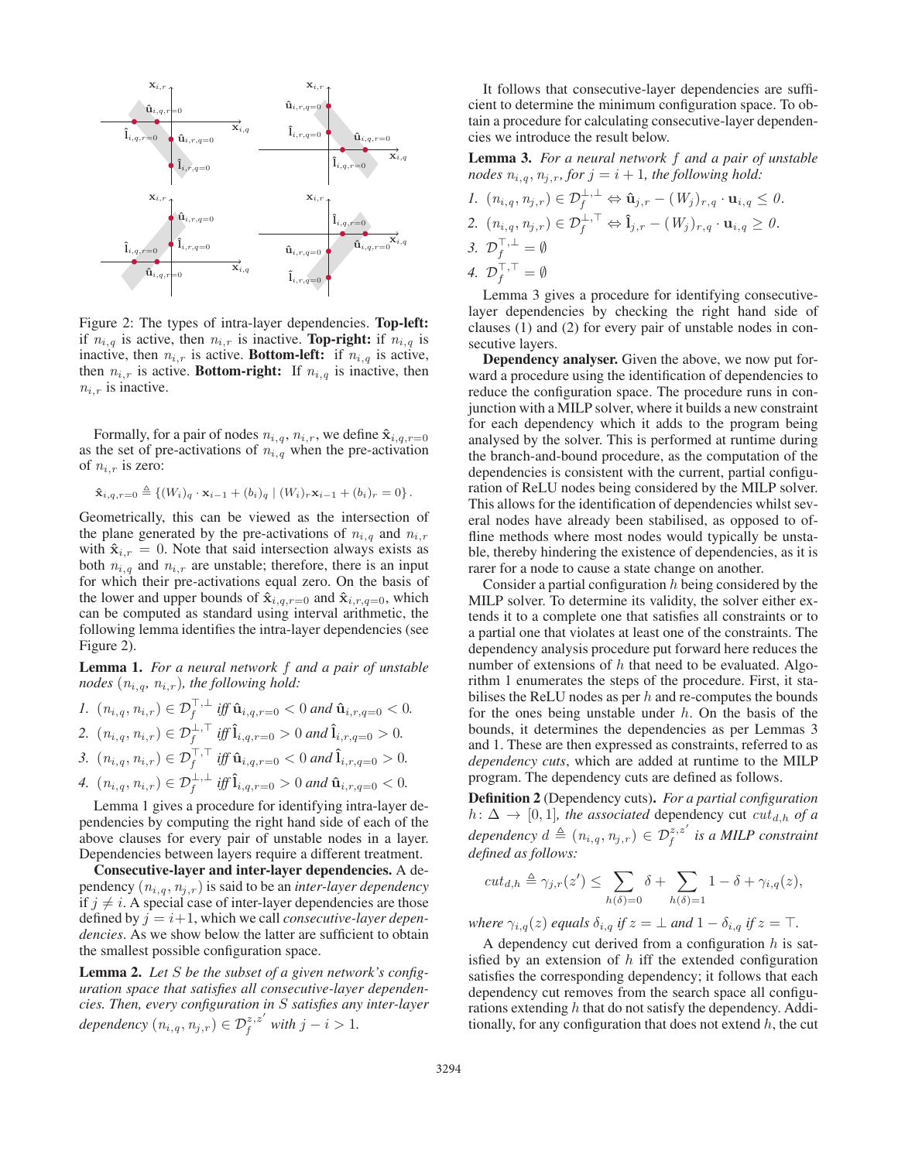

Figure 2: The types of intra-layer dependencies. Top-left: if  $n_{i,q}$  is active, then  $n_{i,r}$  is inactive. **Top-right:** if  $n_{i,q}$  is inactive, then  $n_{i,r}$  is active. Bottom-left: if  $n_{i,q}$  is active, then  $n_{i,r}$  is active. Bottom-right: If  $n_{i,q}$  is inactive, then  $n_{i,r}$  is inactive.

Formally, for a pair of nodes  $n_{i,q}$ ,  $n_{i,r}$ , we define  $\hat{\mathbf{x}}_{i,q,r=0}$ as the set of pre-activations of  $n_{i,q}$  when the pre-activation of  $n_{i,r}$  is zero:

$$
\hat{\mathbf{x}}_{i,q,r=0} \triangleq \left\{ (W_i)_q \cdot \mathbf{x}_{i-1} + (b_i)_q \mid (W_i)_r \mathbf{x}_{i-1} + (b_i)_r = 0 \right\}.
$$

Geometrically, this can be viewed as the intersection of the plane generated by the pre-activations of  $n_{i,q}$  and  $n_{i,r}$ with  $\hat{\mathbf{x}}_{i,r} = 0$ . Note that said intersection always exists as both  $n_{i,q}$  and  $n_{i,r}$  are unstable; therefore, there is an input for which their pre-activations equal zero. On the basis of the lower and upper bounds of  $\hat{\mathbf{x}}_{i,q,r=0}$  and  $\hat{\mathbf{x}}_{i,r,q=0}$ , which can be computed as standard using interval arithmetic, the following lemma identifies the intra-layer dependencies (see Figure 2).

Lemma 1. *For a neural network* f *and a pair of unstable nodes*  $(n_{i,q}, n_{i,r})$ *, the following hold:* 

\n- 1. 
$$
(n_{i,q}, n_{i,r}) \in \mathcal{D}_f^{\top, \perp}
$$
 iff  $\hat{\mathbf{u}}_{i,q,r=0} < 0$  and  $\hat{\mathbf{u}}_{i,r,q=0} < 0$ .
\n- 2.  $(n_{i,q}, n_{i,r}) \in \mathcal{D}_f^{\perp, \top}$  iff  $\hat{\mathbf{l}}_{i,q,r=0} > 0$  and  $\hat{\mathbf{l}}_{i,r,q=0} > 0$ .
\n- 3.  $(n_{i,q}, n_{i,r}) \in \mathcal{D}_f^{\top, \top}$  iff  $\hat{\mathbf{u}}_{i,q,r=0} < 0$  and  $\hat{\mathbf{l}}_{i,r,q=0} > 0$ .
\n

4. 
$$
(n_{i,q}, n_{i,r}) \in \mathcal{D}_f^{\perp, \perp}
$$
 iff  $\hat{\mathbf{l}}_{i,q,r=0} > 0$  and  $\hat{\mathbf{u}}_{i,r,q=0} < 0$ .

Lemma 1 gives a procedure for identifying intra-layer dependencies by computing the right hand side of each of the above clauses for every pair of unstable nodes in a layer. Dependencies between layers require a different treatment.

Consecutive-layer and inter-layer dependencies. A dependency  $(n_{i,q}, n_{j,r})$  is said to be an *inter-layer dependency* if  $j \neq i$ . A special case of inter-layer dependencies are those defined by j = i+1, which we call *consecutive-layer dependencies*. As we show below the latter are sufficient to obtain the smallest possible configuration space.

Lemma 2. *Let* S *be the subset of a given network's configuration space that satisfies all consecutive-layer dependencies. Then, every configuration in* S *satisfies any inter-layer*  $\phi$  *dependency*  $(n_{i,q}, n_{j,r}) \in \mathcal{D}_f^{z,z'}$  *with*  $j - i > 1$ .

It follows that consecutive-layer dependencies are sufficient to determine the minimum configuration space. To obtain a procedure for calculating consecutive-layer dependencies we introduce the result below.

Lemma 3. *For a neural network* f *and a pair of unstable nodes*  $n_{i,q}$ ,  $n_{j,r}$ , for  $j = i + 1$ , the following hold:

1. 
$$
(n_{i,q}, n_{j,r}) \in \mathcal{D}_f^{\perp, \perp} \Leftrightarrow \hat{\mathbf{u}}_{j,r} - (W_j)_{r,q} \cdot \mathbf{u}_{i,q} \le 0.
$$
  
\n2.  $(n_{i,q}, n_{j,r}) \in \mathcal{D}_f^{\perp, \top} \Leftrightarrow \hat{\mathbf{l}}_{j,r} - (W_j)_{r,q} \cdot \mathbf{u}_{i,q} \ge 0.$   
\n3.  $\mathcal{D}_f^{\top, \perp} = \emptyset$   
\n4.  $\mathcal{D}_f^{\top, \top} = \emptyset$ 

Lemma 3 gives a procedure for identifying consecutivelayer dependencies by checking the right hand side of clauses (1) and (2) for every pair of unstable nodes in consecutive layers.

Dependency analyser. Given the above, we now put forward a procedure using the identification of dependencies to reduce the configuration space. The procedure runs in conjunction with a MILP solver, where it builds a new constraint for each dependency which it adds to the program being analysed by the solver. This is performed at runtime during the branch-and-bound procedure, as the computation of the dependencies is consistent with the current, partial configuration of ReLU nodes being considered by the MILP solver. This allows for the identification of dependencies whilst several nodes have already been stabilised, as opposed to offline methods where most nodes would typically be unstable, thereby hindering the existence of dependencies, as it is rarer for a node to cause a state change on another.

Consider a partial configuration  $h$  being considered by the MILP solver. To determine its validity, the solver either extends it to a complete one that satisfies all constraints or to a partial one that violates at least one of the constraints. The dependency analysis procedure put forward here reduces the number of extensions of  $h$  that need to be evaluated. Algorithm 1 enumerates the steps of the procedure. First, it stabilises the ReLU nodes as per  $h$  and re-computes the bounds for the ones being unstable under  $h$ . On the basis of the bounds, it determines the dependencies as per Lemmas 3 and 1. These are then expressed as constraints, referred to as *dependency cuts*, which are added at runtime to the MILP program. The dependency cuts are defined as follows.

Definition 2 (Dependency cuts). *For a partial configuration*  $h: \Delta \rightarrow [0, 1]$ *, the associated* dependency cut *cut<sub>d,h</sub> of a* dependency  $d \triangleq (n_{i,q}, n_{j,r}) \in \mathcal{D}^{z,z'}_f$  is a MILP constraint *defined as follows:*

$$
cut_{d,h} \triangleq \gamma_{j,r}(z') \leq \sum_{h(\delta)=0} \delta + \sum_{h(\delta)=1} 1 - \delta + \gamma_{i,q}(z),
$$

*where*  $\gamma_{i,q}(z)$  *equals*  $\delta_{i,q}$  *if*  $z = \perp$  *and*  $1 - \delta_{i,q}$  *if*  $z = \top$ *.* 

A dependency cut derived from a configuration  $h$  is satisfied by an extension of  $h$  iff the extended configuration satisfies the corresponding dependency; it follows that each dependency cut removes from the search space all configurations extending h that do not satisfy the dependency. Additionally, for any configuration that does not extend  $h$ , the cut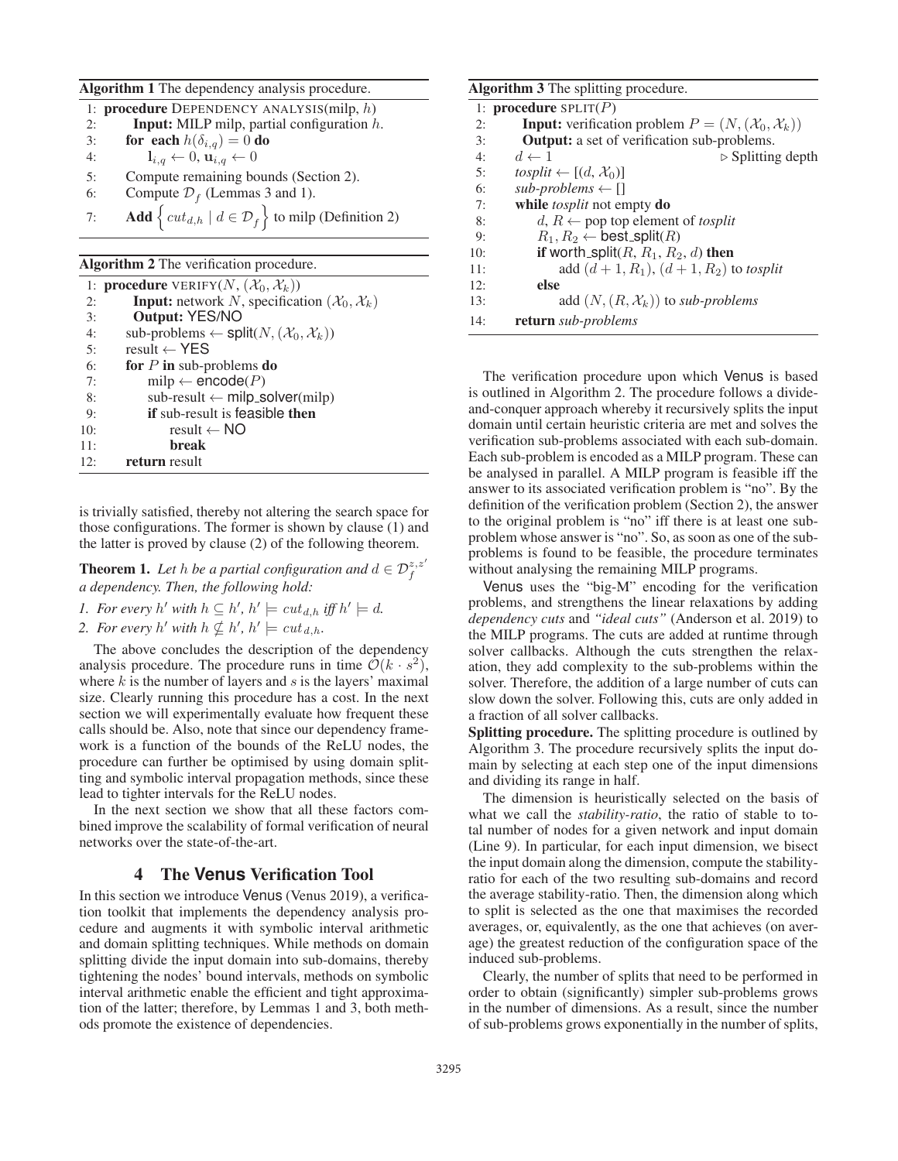Algorithm 1 The dependency analysis procedure.

|    | 1: <b>procedure</b> DEPENDENCY ANALYSIS(milp, $h$ )                                     |
|----|-----------------------------------------------------------------------------------------|
| 2: | <b>Input:</b> MILP milp, partial configuration $h$ .                                    |
| 3: | for each $h(\delta_{i,q}) = 0$ do                                                       |
| 4: | $\mathbf{l}_{i,q} \leftarrow 0, \mathbf{u}_{i,q} \leftarrow 0$                          |
| 5: | Compute remaining bounds (Section 2).                                                   |
| 6: | Compute $\mathcal{D}_f$ (Lemmas 3 and 1).                                               |
| 7: | <b>Add</b> $\left\{ cut_{d,h} \mid d \in \mathcal{D}_f \right\}$ to milp (Definition 2) |
|    |                                                                                         |

Algorithm 2 The verification procedure.

|     | 1: <b>procedure</b> VERIFY(N, $(\mathcal{X}_0, \mathcal{X}_k)$ )        |
|-----|-------------------------------------------------------------------------|
| 2:  | <b>Input:</b> network N, specification $(\mathcal{X}_0, \mathcal{X}_k)$ |
| 3:  | Output: YES/NO                                                          |
| 4:  | sub-problems $\leftarrow$ split(N, $(\mathcal{X}_0, \mathcal{X}_k)$ )   |
| 5:  | $result \leftarrow \text{YES}$                                          |
| 6:  | for $P$ in sub-problems do                                              |
| 7:  | $milp \leftarrow encode(P)$                                             |
| 8:  | $sub-result \leftarrow milp\_solver(milp)$                              |
| 9:  | if sub-result is feasible then                                          |
| 10: | result $\leftarrow$ NO                                                  |
| 11: | break                                                                   |
| 12: | return result                                                           |

is trivially satisfied, thereby not altering the search space for those configurations. The former is shown by clause (1) and the latter is proved by clause (2) of the following theorem.

**Theorem 1.** Let *h* be a partial configuration and  $d \in \mathcal{D}_f^{z,z'}$ *a dependency. Then, the following hold:*

- *1. For every*  $h'$  *with*  $h \subseteq h'$ *,*  $h' \models cut_{d,h}$  *iff*  $h' \models d$ *.*
- 2. For every h' with  $h \nsubseteq h', h' \models cut_{d,h}.$

The above concludes the description of the dependency analysis procedure. The procedure runs in time  $\mathcal{O}(k \cdot s^2)$ , where  $k$  is the number of layers and  $s$  is the layers' maximal size. Clearly running this procedure has a cost. In the next section we will experimentally evaluate how frequent these calls should be. Also, note that since our dependency framework is a function of the bounds of the ReLU nodes, the procedure can further be optimised by using domain splitting and symbolic interval propagation methods, since these lead to tighter intervals for the ReLU nodes.

In the next section we show that all these factors combined improve the scalability of formal verification of neural networks over the state-of-the-art.

## 4 The **Venus** Verification Tool

In this section we introduce Venus (Venus 2019), a verification toolkit that implements the dependency analysis procedure and augments it with symbolic interval arithmetic and domain splitting techniques. While methods on domain splitting divide the input domain into sub-domains, thereby tightening the nodes' bound intervals, methods on symbolic interval arithmetic enable the efficient and tight approximation of the latter; therefore, by Lemmas 1 and 3, both methods promote the existence of dependencies.

Algorithm 3 The splitting procedure.

|                  | 1: <b>procedure</b> $SPLIT(P)$                                               |
|------------------|------------------------------------------------------------------------------|
| 2:               | <b>Input:</b> verification problem $P = (N, (\mathcal{X}_0, \mathcal{X}_k))$ |
| $\overline{3}$ : | <b>Output:</b> a set of verification sub-problems.                           |
| 4:               | $d \leftarrow 1$<br>$\triangleright$ Splitting depth                         |
| 5:               | tosplit $\leftarrow$ [(d, $\mathcal{X}_0$ )]                                 |
| 6:               | $sub-problems \leftarrow \lceil \rceil$                                      |
| 7:               | while <i>tosplit</i> not empty <b>do</b>                                     |
| 8:               | $d, R \leftarrow$ pop top element of <i>tosplit</i>                          |
| 9:               | $R_1, R_2 \leftarrow$ best_split(R)                                          |
| 10:              | if worth_split( $R$ , $R_1$ , $R_2$ , d) then                                |
| 11:              | add $(d + 1, R_1), (d + 1, R_2)$ to <i>tosplit</i>                           |
| 12:              | else                                                                         |
| 13:              | add $(N, (R, \mathcal{X}_k))$ to sub-problems                                |
| 14:              | <b>return</b> sub-problems                                                   |
|                  |                                                                              |

The verification procedure upon which Venus is based is outlined in Algorithm 2. The procedure follows a divideand-conquer approach whereby it recursively splits the input domain until certain heuristic criteria are met and solves the verification sub-problems associated with each sub-domain. Each sub-problem is encoded as a MILP program. These can be analysed in parallel. A MILP program is feasible iff the answer to its associated verification problem is "no". By the definition of the verification problem (Section 2), the answer to the original problem is "no" iff there is at least one subproblem whose answer is "no". So, as soon as one of the subproblems is found to be feasible, the procedure terminates without analysing the remaining MILP programs.

Venus uses the "big-M" encoding for the verification problems, and strengthens the linear relaxations by adding *dependency cuts* and *"ideal cuts"* (Anderson et al. 2019) to the MILP programs. The cuts are added at runtime through solver callbacks. Although the cuts strengthen the relaxation, they add complexity to the sub-problems within the solver. Therefore, the addition of a large number of cuts can slow down the solver. Following this, cuts are only added in a fraction of all solver callbacks.

Splitting procedure. The splitting procedure is outlined by Algorithm 3. The procedure recursively splits the input domain by selecting at each step one of the input dimensions and dividing its range in half.

The dimension is heuristically selected on the basis of what we call the *stability-ratio*, the ratio of stable to total number of nodes for a given network and input domain (Line 9). In particular, for each input dimension, we bisect the input domain along the dimension, compute the stabilityratio for each of the two resulting sub-domains and record the average stability-ratio. Then, the dimension along which to split is selected as the one that maximises the recorded averages, or, equivalently, as the one that achieves (on average) the greatest reduction of the configuration space of the induced sub-problems.

Clearly, the number of splits that need to be performed in order to obtain (significantly) simpler sub-problems grows in the number of dimensions. As a result, since the number of sub-problems grows exponentially in the number of splits,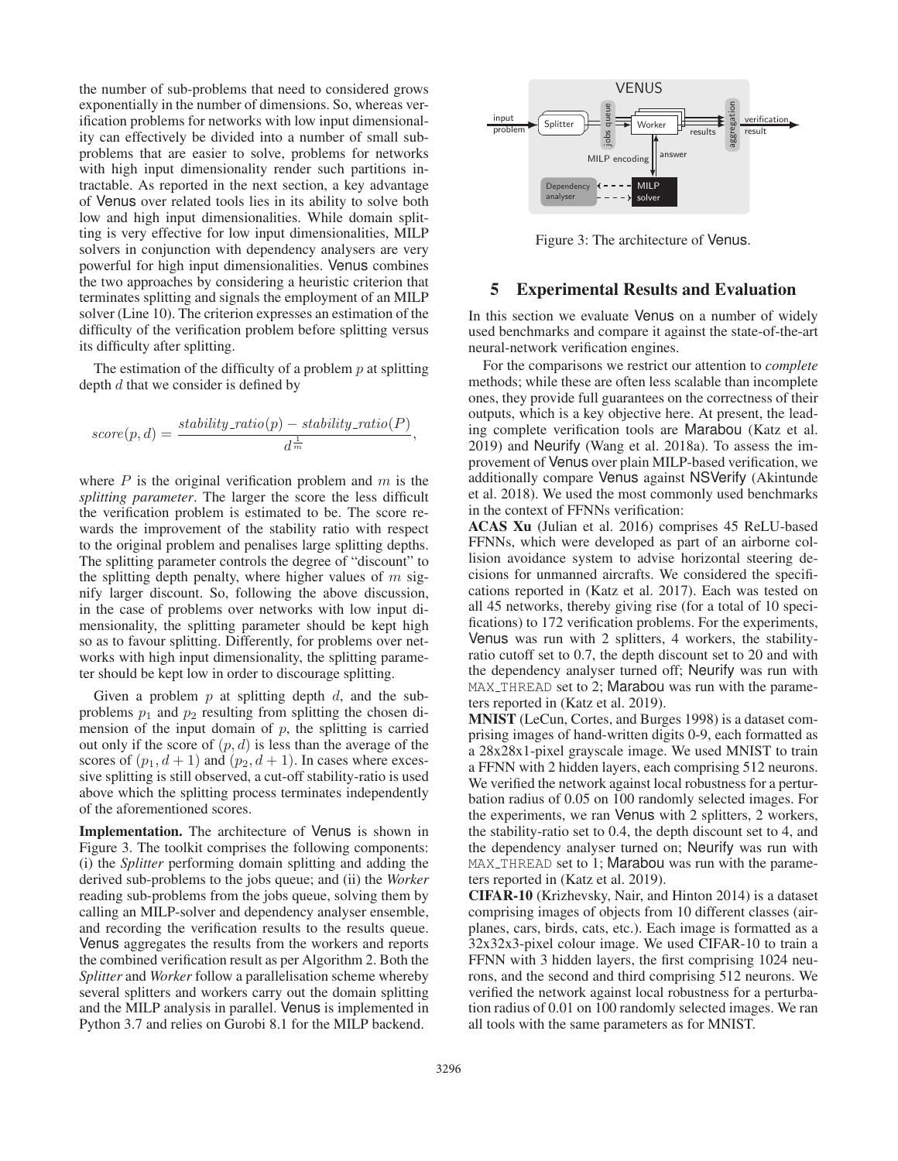the number of sub-problems that need to considered grows exponentially in the number of dimensions. So, whereas verification problems for networks with low input dimensionality can effectively be divided into a number of small subproblems that are easier to solve, problems for networks with high input dimensionality render such partitions intractable. As reported in the next section, a key advantage of Venus over related tools lies in its ability to solve both low and high input dimensionalities. While domain splitting is very effective for low input dimensionalities, MILP solvers in conjunction with dependency analysers are very powerful for high input dimensionalities. Venus combines the two approaches by considering a heuristic criterion that terminates splitting and signals the employment of an MILP solver (Line 10). The criterion expresses an estimation of the difficulty of the verification problem before splitting versus its difficulty after splitting.

The estimation of the difficulty of a problem  $p$  at splitting depth  $d$  that we consider is defined by

$$
score(p, d) = \frac{stability\_ratio(p) - stability\_ratio(P)}{d^{\frac{1}{m}}},
$$

where  $P$  is the original verification problem and  $m$  is the *splitting parameter*. The larger the score the less difficult the verification problem is estimated to be. The score rewards the improvement of the stability ratio with respect to the original problem and penalises large splitting depths. The splitting parameter controls the degree of "discount" to the splitting depth penalty, where higher values of  $m$  signify larger discount. So, following the above discussion, in the case of problems over networks with low input dimensionality, the splitting parameter should be kept high so as to favour splitting. Differently, for problems over networks with high input dimensionality, the splitting parameter should be kept low in order to discourage splitting.

Given a problem  $p$  at splitting depth  $d$ , and the subproblems  $p_1$  and  $p_2$  resulting from splitting the chosen dimension of the input domain of  $p$ , the splitting is carried out only if the score of  $(p, d)$  is less than the average of the scores of  $(p_1, d+1)$  and  $(p_2, d+1)$ . In cases where excessive splitting is still observed, a cut-off stability-ratio is used above which the splitting process terminates independently of the aforementioned scores.

Implementation. The architecture of Venus is shown in Figure 3. The toolkit comprises the following components: (i) the *Splitter* performing domain splitting and adding the derived sub-problems to the jobs queue; and (ii) the *Worker* reading sub-problems from the jobs queue, solving them by calling an MILP-solver and dependency analyser ensemble, and recording the verification results to the results queue. Venus aggregates the results from the workers and reports the combined verification result as per Algorithm 2. Both the *Splitter* and *Worker* follow a parallelisation scheme whereby several splitters and workers carry out the domain splitting and the MILP analysis in parallel. Venus is implemented in Python 3.7 and relies on Gurobi 8.1 for the MILP backend.



Figure 3: The architecture of Venus.

## 5 Experimental Results and Evaluation

In this section we evaluate Venus on a number of widely used benchmarks and compare it against the state-of-the-art neural-network verification engines.

For the comparisons we restrict our attention to *complete* methods; while these are often less scalable than incomplete ones, they provide full guarantees on the correctness of their outputs, which is a key objective here. At present, the leading complete verification tools are Marabou (Katz et al. 2019) and Neurify (Wang et al. 2018a). To assess the improvement of Venus over plain MILP-based verification, we additionally compare Venus against NSVerify (Akintunde et al. 2018). We used the most commonly used benchmarks in the context of FFNNs verification:

ACAS Xu (Julian et al. 2016) comprises 45 ReLU-based FFNNs, which were developed as part of an airborne collision avoidance system to advise horizontal steering decisions for unmanned aircrafts. We considered the specifications reported in (Katz et al. 2017). Each was tested on all 45 networks, thereby giving rise (for a total of 10 specifications) to 172 verification problems. For the experiments, Venus was run with 2 splitters, 4 workers, the stabilityratio cutoff set to 0.7, the depth discount set to 20 and with the dependency analyser turned off; Neurify was run with MAX\_THREAD set to 2; Marabou was run with the parameters reported in (Katz et al. 2019).

MNIST (LeCun, Cortes, and Burges 1998) is a dataset comprising images of hand-written digits 0-9, each formatted as a 28x28x1-pixel grayscale image. We used MNIST to train a FFNN with 2 hidden layers, each comprising 512 neurons. We verified the network against local robustness for a perturbation radius of 0.05 on 100 randomly selected images. For the experiments, we ran Venus with 2 splitters, 2 workers, the stability-ratio set to 0.4, the depth discount set to 4, and the dependency analyser turned on; Neurify was run with MAX\_THREAD set to 1; Marabou was run with the parameters reported in (Katz et al. 2019).

CIFAR-10 (Krizhevsky, Nair, and Hinton 2014) is a dataset comprising images of objects from 10 different classes (airplanes, cars, birds, cats, etc.). Each image is formatted as a 32x32x3-pixel colour image. We used CIFAR-10 to train a FFNN with 3 hidden layers, the first comprising 1024 neurons, and the second and third comprising 512 neurons. We verified the network against local robustness for a perturbation radius of 0.01 on 100 randomly selected images. We ran all tools with the same parameters as for MNIST.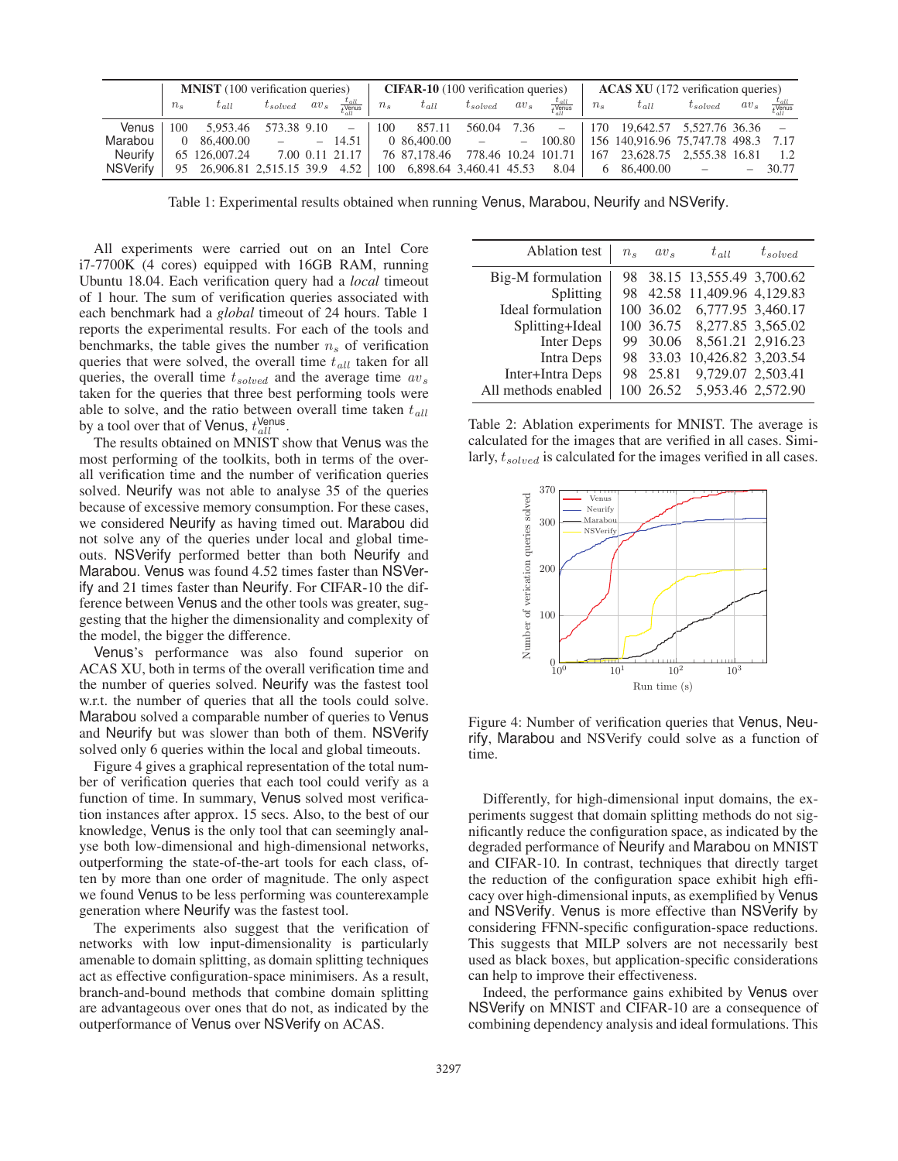|          |         |                                 |                     |  | <b>MNIST</b> (100 verification queries) <b>CIFAR-10</b> (100 verification queries) <b>ACAS XU</b> (172 verification queries) |       |                                  |              |        |                     |         |                                                  |                          |        |                           |
|----------|---------|---------------------------------|---------------------|--|------------------------------------------------------------------------------------------------------------------------------|-------|----------------------------------|--------------|--------|---------------------|---------|--------------------------------------------------|--------------------------|--------|---------------------------|
|          | $n_{s}$ | $t_{all}$                       | $t_{solved}$ $av_s$ |  | $\frac{t_{all}}{t^{\text{Venus}}}$                                                                                           | $n_s$ | $t_{all}$                        | $t_{solved}$ | $av_s$ | $\frac{t_{all}}{t}$ | $n_{s}$ | $t_{all}$                                        | $t_{solved}$             | $av_s$ | $\frac{t_{all}}{t}$ Venus |
| Venus '  |         | 100 5,953.46                    |                     |  |                                                                                                                              |       | $573.38$ 9.10 $-$ 100 857.11     |              |        | $560.04$ 7.36 -     |         | $170$ 19,642.57 5,527.76 36.36 -                 |                          |        |                           |
| Marabou  |         | $0\quad 86,400,00$              |                     |  |                                                                                                                              |       | $ -$ 14.51   0 86.400.00 $-$     |              |        |                     |         | $- 100.80$   156 140,916.96 75,747.78 498.3 7.17 |                          |        |                           |
| Neurify  |         | 65 126,007.24 7.00 0.11 21.17   |                     |  |                                                                                                                              |       | 76 87,178.46 778.46 10.24 101.71 |              |        |                     |         | 167 23,628.75 2,555.38 16.81                     |                          |        | 1.2                       |
| NSVerify |         | 95 26,906.81 2,515.15 39.9 4.52 |                     |  |                                                                                                                              |       |                                  |              |        |                     |         | 100 6,898.64 3,460.41 45.53 8.04   6 86,400.00   | <b>Contract Contract</b> |        | 30.77                     |

Table 1: Experimental results obtained when running Venus, Marabou, Neurify and NSVerify.

All experiments were carried out on an Intel Core i7-7700K (4 cores) equipped with 16GB RAM, running Ubuntu 18.04. Each verification query had a *local* timeout of 1 hour. The sum of verification queries associated with each benchmark had a *global* timeout of 24 hours. Table 1 reports the experimental results. For each of the tools and benchmarks, the table gives the number  $n<sub>s</sub>$  of verification queries that were solved, the overall time  $t_{all}$  taken for all queries, the overall time  $t_{solved}$  and the average time  $av_s$ taken for the queries that three best performing tools were able to solve, and the ratio between overall time taken  $t_{all}$ by a tool over that of Venus,  $t_{all}^{\text{Venus}}$ .

The results obtained on MNIST show that Venus was the most performing of the toolkits, both in terms of the overall verification time and the number of verification queries solved. Neurify was not able to analyse 35 of the queries because of excessive memory consumption. For these cases, we considered Neurify as having timed out. Marabou did not solve any of the queries under local and global timeouts. NSVerify performed better than both Neurify and Marabou. Venus was found 4.52 times faster than NSVerify and 21 times faster than Neurify. For CIFAR-10 the difference between Venus and the other tools was greater, suggesting that the higher the dimensionality and complexity of the model, the bigger the difference.

Venus's performance was also found superior on ACAS XU, both in terms of the overall verification time and the number of queries solved. Neurify was the fastest tool w.r.t. the number of queries that all the tools could solve. Marabou solved a comparable number of queries to Venus and Neurify but was slower than both of them. NSVerify solved only 6 queries within the local and global timeouts.

Figure 4 gives a graphical representation of the total number of verification queries that each tool could verify as a function of time. In summary, Venus solved most verification instances after approx. 15 secs. Also, to the best of our knowledge, Venus is the only tool that can seemingly analyse both low-dimensional and high-dimensional networks, outperforming the state-of-the-art tools for each class, often by more than one order of magnitude. The only aspect we found Venus to be less performing was counterexample generation where Neurify was the fastest tool.

The experiments also suggest that the verification of networks with low input-dimensionality is particularly amenable to domain splitting, as domain splitting techniques act as effective configuration-space minimisers. As a result, branch-and-bound methods that combine domain splitting are advantageous over ones that do not, as indicated by the outperformance of Venus over NSVerify on ACAS.

| Ablation test       | $n_{\rm s}$ | $av_s$    | $t_{all}$                   | $t_{solued}$      |
|---------------------|-------------|-----------|-----------------------------|-------------------|
| Big-M formulation   |             |           | 98 38.15 13,555.49 3,700.62 |                   |
| Splitting           | 98.         |           | 42.58 11,409.96 4,129.83    |                   |
| Ideal formulation   |             | 100 36.02 | 6,777.95 3,460.17           |                   |
| Splitting+Ideal     |             | 100 36.75 | 8,277.85 3,565.02           |                   |
| <b>Inter Deps</b>   | 99          | 30.06     |                             | 8,561.21 2,916.23 |
| Intra Deps          | 98          | 33.03     | 10,426.82 3,203.54          |                   |
| Inter+Intra Deps    | 98          | 25.81     | 9,729.07 2,503.41           |                   |
| All methods enabled |             | 100 26.52 | 5,953.46 2,572.90           |                   |

Table 2: Ablation experiments for MNIST. The average is calculated for the images that are verified in all cases. Similarly,  $t_{solved}$  is calculated for the images verified in all cases.



Figure 4: Number of verification queries that Venus, Neurify, Marabou and NSVerify could solve as a function of time.

Differently, for high-dimensional input domains, the experiments suggest that domain splitting methods do not significantly reduce the configuration space, as indicated by the degraded performance of Neurify and Marabou on MNIST and CIFAR-10. In contrast, techniques that directly target the reduction of the configuration space exhibit high efficacy over high-dimensional inputs, as exemplified by Venus and NSVerify. Venus is more effective than NSVerify by considering FFNN-specific configuration-space reductions. This suggests that MILP solvers are not necessarily best used as black boxes, but application-specific considerations can help to improve their effectiveness.

Indeed, the performance gains exhibited by Venus over NSVerify on MNIST and CIFAR-10 are a consequence of combining dependency analysis and ideal formulations. This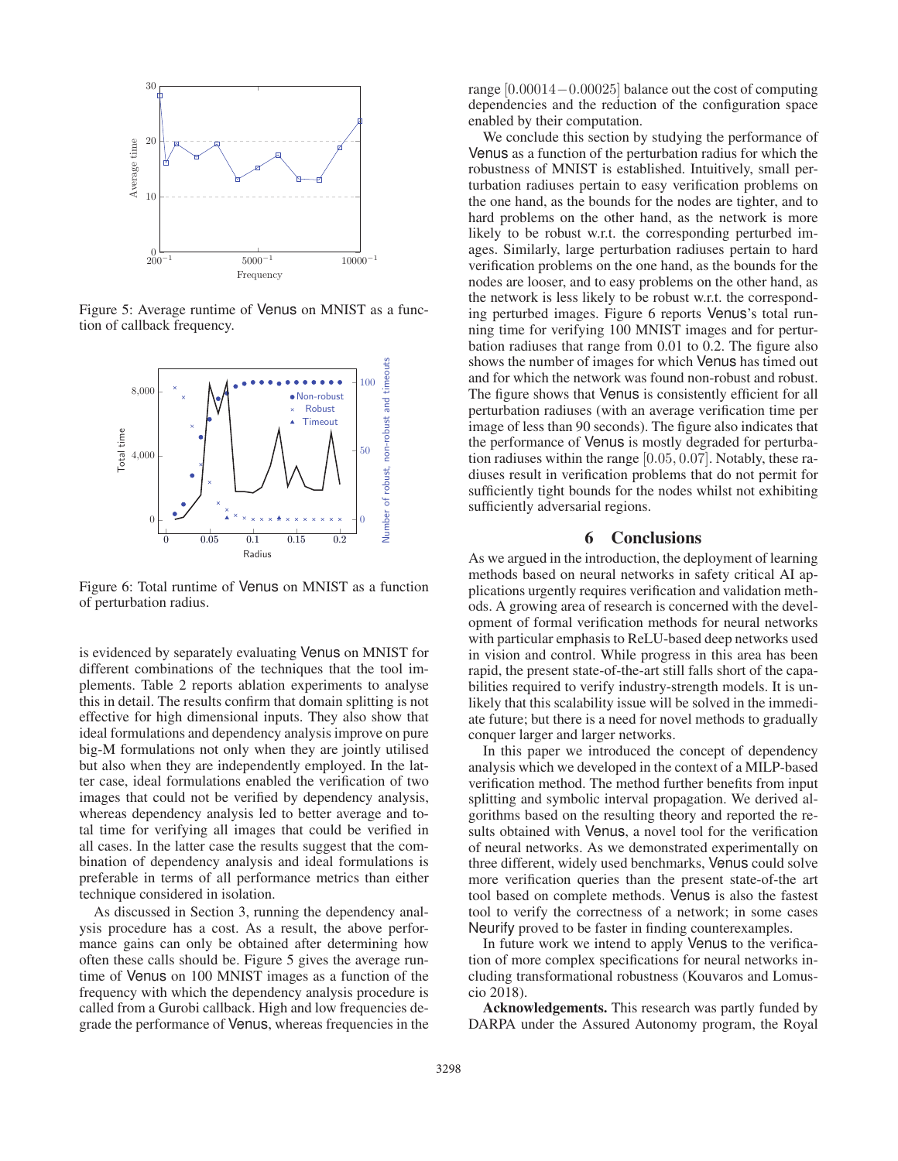

Figure 5: Average runtime of Venus on MNIST as a function of callback frequency.



Figure 6: Total runtime of Venus on MNIST as a function of perturbation radius.

is evidenced by separately evaluating Venus on MNIST for different combinations of the techniques that the tool implements. Table 2 reports ablation experiments to analyse this in detail. The results confirm that domain splitting is not effective for high dimensional inputs. They also show that ideal formulations and dependency analysis improve on pure big-M formulations not only when they are jointly utilised but also when they are independently employed. In the latter case, ideal formulations enabled the verification of two images that could not be verified by dependency analysis, whereas dependency analysis led to better average and total time for verifying all images that could be verified in all cases. In the latter case the results suggest that the combination of dependency analysis and ideal formulations is preferable in terms of all performance metrics than either technique considered in isolation.

As discussed in Section 3, running the dependency analysis procedure has a cost. As a result, the above performance gains can only be obtained after determining how often these calls should be. Figure 5 gives the average runtime of Venus on 100 MNIST images as a function of the frequency with which the dependency analysis procedure is called from a Gurobi callback. High and low frequencies degrade the performance of Venus, whereas frequencies in the range [0.00014−0.00025] balance out the cost of computing dependencies and the reduction of the configuration space enabled by their computation.

We conclude this section by studying the performance of Venus as a function of the perturbation radius for which the robustness of MNIST is established. Intuitively, small perturbation radiuses pertain to easy verification problems on the one hand, as the bounds for the nodes are tighter, and to hard problems on the other hand, as the network is more likely to be robust w.r.t. the corresponding perturbed images. Similarly, large perturbation radiuses pertain to hard verification problems on the one hand, as the bounds for the nodes are looser, and to easy problems on the other hand, as the network is less likely to be robust w.r.t. the corresponding perturbed images. Figure 6 reports Venus's total running time for verifying 100 MNIST images and for perturbation radiuses that range from 0.01 to 0.2. The figure also shows the number of images for which Venus has timed out and for which the network was found non-robust and robust. The figure shows that Venus is consistently efficient for all perturbation radiuses (with an average verification time per image of less than 90 seconds). The figure also indicates that the performance of Venus is mostly degraded for perturbation radiuses within the range [0.05, 0.07]. Notably, these radiuses result in verification problems that do not permit for sufficiently tight bounds for the nodes whilst not exhibiting sufficiently adversarial regions.

## 6 Conclusions

As we argued in the introduction, the deployment of learning methods based on neural networks in safety critical AI applications urgently requires verification and validation methods. A growing area of research is concerned with the development of formal verification methods for neural networks with particular emphasis to ReLU-based deep networks used in vision and control. While progress in this area has been rapid, the present state-of-the-art still falls short of the capabilities required to verify industry-strength models. It is unlikely that this scalability issue will be solved in the immediate future; but there is a need for novel methods to gradually conquer larger and larger networks.

In this paper we introduced the concept of dependency analysis which we developed in the context of a MILP-based verification method. The method further benefits from input splitting and symbolic interval propagation. We derived algorithms based on the resulting theory and reported the results obtained with Venus, a novel tool for the verification of neural networks. As we demonstrated experimentally on three different, widely used benchmarks, Venus could solve more verification queries than the present state-of-the art tool based on complete methods. Venus is also the fastest tool to verify the correctness of a network; in some cases Neurify proved to be faster in finding counterexamples.

In future work we intend to apply Venus to the verification of more complex specifications for neural networks including transformational robustness (Kouvaros and Lomuscio 2018).

Acknowledgements. This research was partly funded by DARPA under the Assured Autonomy program, the Royal